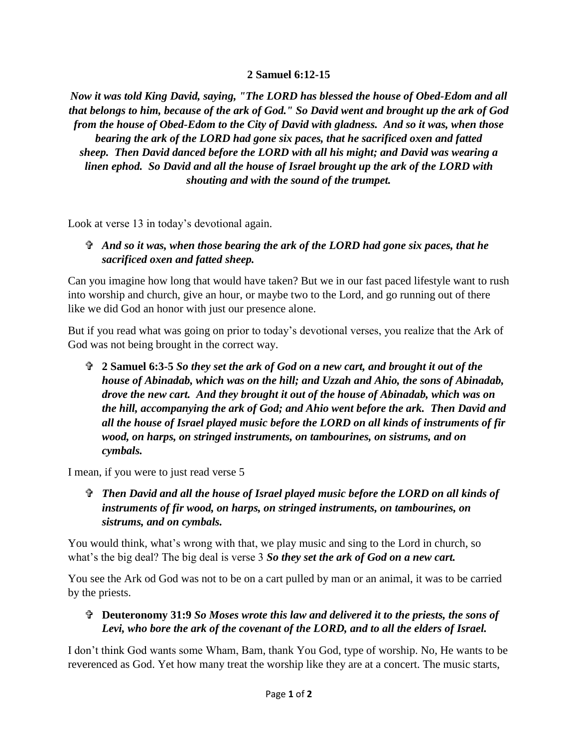## **2 Samuel 6:12-15**

*Now it was told King David, saying, "The LORD has blessed the house of Obed-Edom and all that belongs to him, because of the ark of God." So David went and brought up the ark of God from the house of Obed-Edom to the City of David with gladness. And so it was, when those bearing the ark of the LORD had gone six paces, that he sacrificed oxen and fatted sheep. Then David danced before the LORD with all his might; and David was wearing a linen ephod. So David and all the house of Israel brought up the ark of the LORD with shouting and with the sound of the trumpet.*

Look at verse 13 in today's devotional again.

## *And so it was, when those bearing the ark of the LORD had gone six paces, that he sacrificed oxen and fatted sheep.*

Can you imagine how long that would have taken? But we in our fast paced lifestyle want to rush into worship and church, give an hour, or maybe two to the Lord, and go running out of there like we did God an honor with just our presence alone.

But if you read what was going on prior to today's devotional verses, you realize that the Ark of God was not being brought in the correct way.

 **2 Samuel 6:3-5** *So they set the ark of God on a new cart, and brought it out of the house of Abinadab, which was on the hill; and Uzzah and Ahio, the sons of Abinadab, drove the new cart. And they brought it out of the house of Abinadab, which was on the hill, accompanying the ark of God; and Ahio went before the ark. Then David and all the house of Israel played music before the LORD on all kinds of instruments of fir wood, on harps, on stringed instruments, on tambourines, on sistrums, and on cymbals.*

I mean, if you were to just read verse 5

 *Then David and all the house of Israel played music before the LORD on all kinds of instruments of fir wood, on harps, on stringed instruments, on tambourines, on sistrums, and on cymbals.*

You would think, what's wrong with that, we play music and sing to the Lord in church, so what's the big deal? The big deal is verse 3 *So they set the ark of God on a new cart.* 

You see the Ark od God was not to be on a cart pulled by man or an animal, it was to be carried by the priests.

 **Deuteronomy 31:9** *So Moses wrote this law and delivered it to the priests, the sons of Levi, who bore the ark of the covenant of the LORD, and to all the elders of Israel.*

I don't think God wants some Wham, Bam, thank You God, type of worship. No, He wants to be reverenced as God. Yet how many treat the worship like they are at a concert. The music starts,